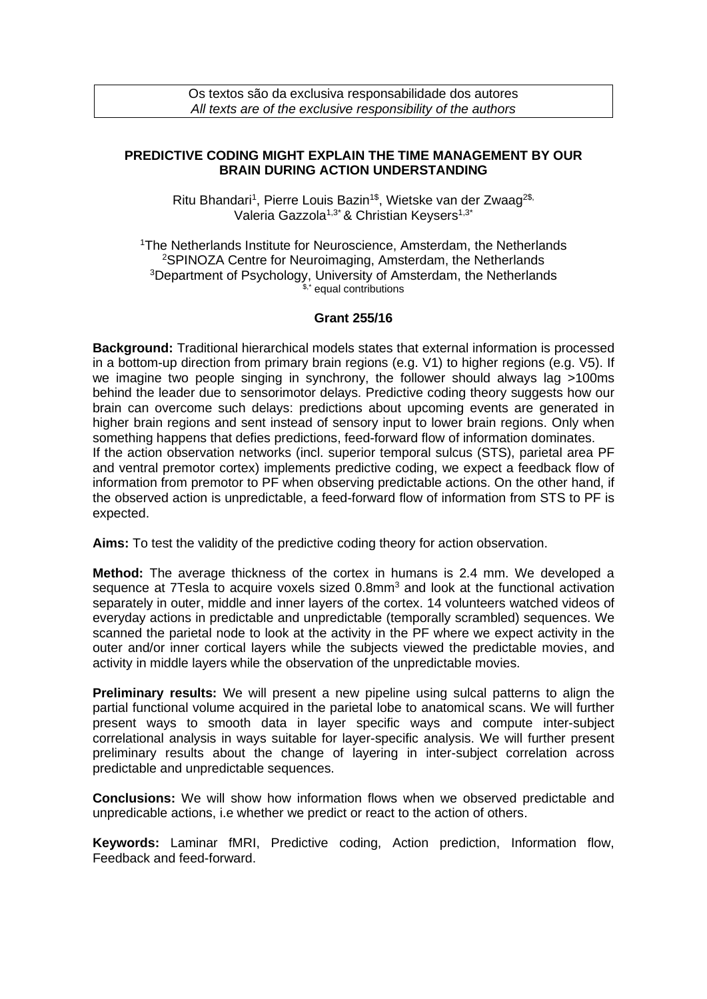## **PREDICTIVE CODING MIGHT EXPLAIN THE TIME MANAGEMENT BY OUR BRAIN DURING ACTION UNDERSTANDING**

Ritu Bhandari<sup>1</sup>, Pierre Louis Bazin<sup>1\$</sup>, Wietske van der Zwaag<sup>2\$,</sup> Valeria Gazzola<sup>1,3\*</sup> & Christian Keysers<sup>1,3\*</sup>

<sup>1</sup>The Netherlands Institute for Neuroscience, Amsterdam, the Netherlands <sup>2</sup>SPINOZA Centre for Neuroimaging, Amsterdam, the Netherlands <sup>3</sup>Department of Psychology, University of Amsterdam, the Netherlands equal contributions

## **Grant 255/16**

**Background:** Traditional hierarchical models states that external information is processed in a bottom-up direction from primary brain regions (e.g. V1) to higher regions (e.g. V5). If we imagine two people singing in synchrony, the follower should always lag >100ms behind the leader due to sensorimotor delays. Predictive coding theory suggests how our brain can overcome such delays: predictions about upcoming events are generated in higher brain regions and sent instead of sensory input to lower brain regions. Only when something happens that defies predictions, feed-forward flow of information dominates. If the action observation networks (incl. superior temporal sulcus (STS), parietal area PF and ventral premotor cortex) implements predictive coding, we expect a feedback flow of information from premotor to PF when observing predictable actions. On the other hand, if the observed action is unpredictable, a feed-forward flow of information from STS to PF is expected.

**Aims:** To test the validity of the predictive coding theory for action observation.

**Method:** The average thickness of the cortex in humans is 2.4 mm. We developed a sequence at 7Tesla to acquire voxels sized 0.8mm<sup>3</sup> and look at the functional activation separately in outer, middle and inner layers of the cortex. 14 volunteers watched videos of everyday actions in predictable and unpredictable (temporally scrambled) sequences. We scanned the parietal node to look at the activity in the PF where we expect activity in the outer and/or inner cortical layers while the subjects viewed the predictable movies, and activity in middle layers while the observation of the unpredictable movies.

**Preliminary results:** We will present a new pipeline using sulcal patterns to align the partial functional volume acquired in the parietal lobe to anatomical scans. We will further present ways to smooth data in layer specific ways and compute inter-subject correlational analysis in ways suitable for layer-specific analysis. We will further present preliminary results about the change of layering in inter-subject correlation across predictable and unpredictable sequences.

**Conclusions:** We will show how information flows when we observed predictable and unpredicable actions, i.e whether we predict or react to the action of others.

**Keywords:** Laminar fMRI, Predictive coding, Action prediction, Information flow, Feedback and feed-forward.